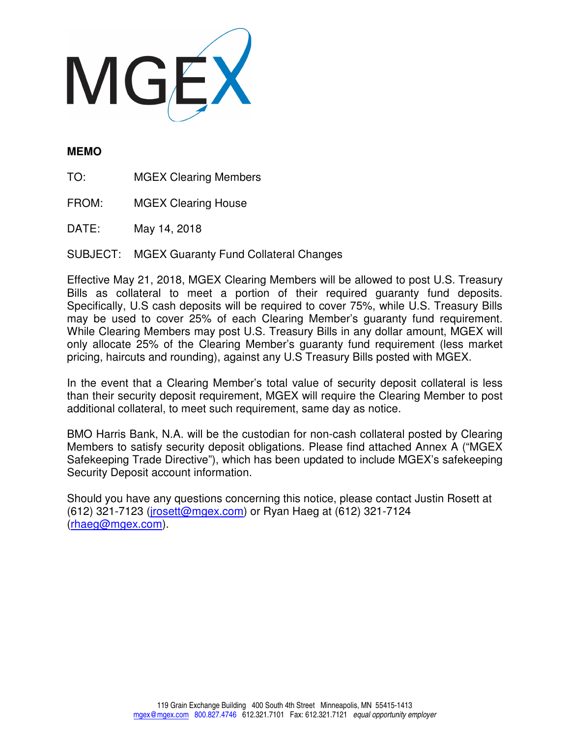

## **MEMO**

TO: MGEX Clearing Members

FROM: MGEX Clearing House

DATE: May 14, 2018

SUBJECT: MGEX Guaranty Fund Collateral Changes

Effective May 21, 2018, MGEX Clearing Members will be allowed to post U.S. Treasury Bills as collateral to meet a portion of their required guaranty fund deposits. Specifically, U.S cash deposits will be required to cover 75%, while U.S. Treasury Bills may be used to cover 25% of each Clearing Member's guaranty fund requirement. While Clearing Members may post U.S. Treasury Bills in any dollar amount, MGEX will only allocate 25% of the Clearing Member's guaranty fund requirement (less market pricing, haircuts and rounding), against any U.S Treasury Bills posted with MGEX.

In the event that a Clearing Member's total value of security deposit collateral is less than their security deposit requirement, MGEX will require the Clearing Member to post additional collateral, to meet such requirement, same day as notice.

BMO Harris Bank, N.A. will be the custodian for non-cash collateral posted by Clearing Members to satisfy security deposit obligations. Please find attached Annex A ("MGEX Safekeeping Trade Directive"), which has been updated to include MGEX's safekeeping Security Deposit account information.

Should you have any questions concerning this notice, please contact Justin Rosett at (612) 321-7123 (jrosett@mgex.com) or Ryan Haeg at (612) 321-7124 (rhaeg@mgex.com).